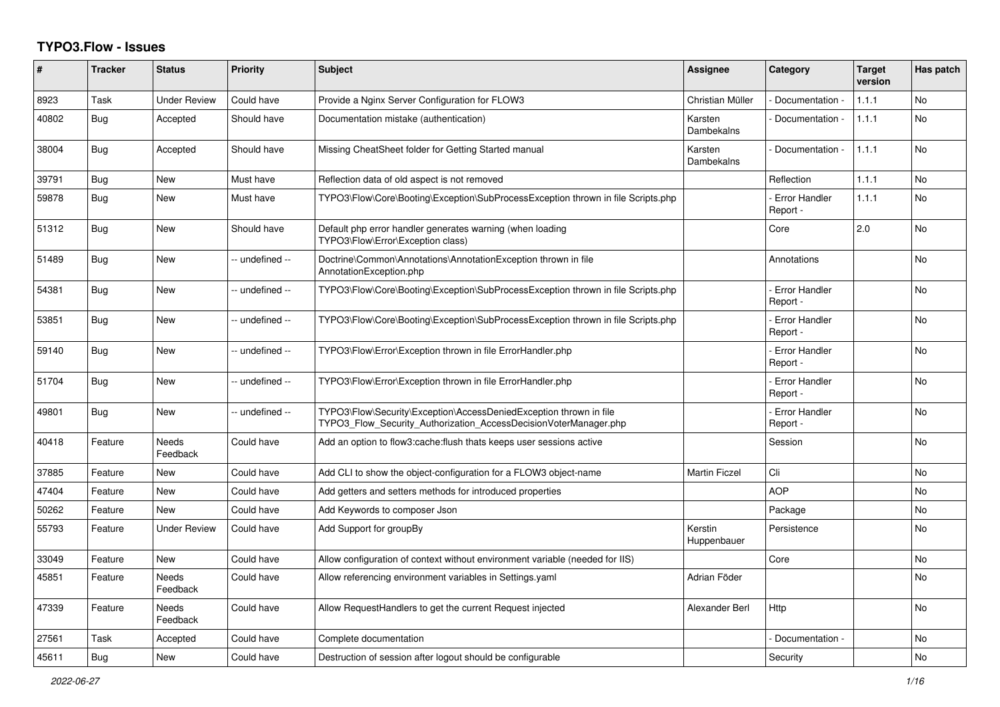## **TYPO3.Flow - Issues**

| ∦     | <b>Tracker</b> | <b>Status</b>            | <b>Priority</b> | <b>Subject</b>                                                                                                                         | Assignee               | Category                         | Target<br>version | Has patch      |
|-------|----------------|--------------------------|-----------------|----------------------------------------------------------------------------------------------------------------------------------------|------------------------|----------------------------------|-------------------|----------------|
| 8923  | Task           | <b>Under Review</b>      | Could have      | Provide a Nginx Server Configuration for FLOW3                                                                                         | Christian Müller       | Documentation -                  | 1.1.1             | <b>No</b>      |
| 40802 | Bug            | Accepted                 | Should have     | Documentation mistake (authentication)                                                                                                 | Karsten<br>Dambekalns  | Documentation -                  | 1.1.1             | No.            |
| 38004 | <b>Bug</b>     | Accepted                 | Should have     | Missing CheatSheet folder for Getting Started manual                                                                                   | Karsten<br>Dambekalns  | Documentation -                  | 1.1.1             | <b>No</b>      |
| 39791 | <b>Bug</b>     | <b>New</b>               | Must have       | Reflection data of old aspect is not removed                                                                                           |                        | Reflection                       | 1.1.1             | No             |
| 59878 | Bug            | <b>New</b>               | Must have       | TYPO3\Flow\Core\Booting\Exception\SubProcessException thrown in file Scripts.php                                                       |                        | <b>Error Handler</b><br>Report - | 1.1.1             | N <sub>o</sub> |
| 51312 | Bug            | <b>New</b>               | Should have     | Default php error handler generates warning (when loading<br>TYPO3\Flow\Error\Exception class)                                         |                        | Core                             | 2.0               | <b>No</b>      |
| 51489 | Bug            | <b>New</b>               | -- undefined -- | Doctrine\Common\Annotations\AnnotationException thrown in file<br>AnnotationException.php                                              |                        | Annotations                      |                   | N <sub>o</sub> |
| 54381 | Bug            | <b>New</b>               | -- undefined -- | TYPO3\Flow\Core\Booting\Exception\SubProcessException thrown in file Scripts.php                                                       |                        | <b>Error Handler</b><br>Report - |                   | N <sub>o</sub> |
| 53851 | Bug            | <b>New</b>               | -- undefined -- | TYPO3\Flow\Core\Booting\Exception\SubProcessException thrown in file Scripts.php                                                       |                        | <b>Error Handler</b><br>Report - |                   | N <sub>o</sub> |
| 59140 | Bug            | <b>New</b>               | -- undefined -- | TYPO3\Flow\Error\Exception thrown in file ErrorHandler.php                                                                             |                        | - Error Handler<br>Report -      |                   | N <sub>o</sub> |
| 51704 | Bug            | <b>New</b>               | -- undefined -- | TYPO3\Flow\Error\Exception thrown in file ErrorHandler.php                                                                             |                        | <b>Error Handler</b><br>Report - |                   | No             |
| 49801 | Bug            | <b>New</b>               | -- undefined -- | TYPO3\Flow\Security\Exception\AccessDeniedException thrown in file<br>TYPO3 Flow Security Authorization AccessDecisionVoterManager.php |                        | <b>Error Handler</b><br>Report - |                   | No             |
| 40418 | Feature        | Needs<br>Feedback        | Could have      | Add an option to flow3:cache: flush thats keeps user sessions active                                                                   |                        | Session                          |                   | No             |
| 37885 | Feature        | New                      | Could have      | Add CLI to show the object-configuration for a FLOW3 object-name                                                                       | <b>Martin Ficzel</b>   | Cli                              |                   | <b>No</b>      |
| 47404 | Feature        | <b>New</b>               | Could have      | Add getters and setters methods for introduced properties                                                                              |                        | <b>AOP</b>                       |                   | No             |
| 50262 | Feature        | <b>New</b>               | Could have      | Add Keywords to composer Json                                                                                                          |                        | Package                          |                   | N <sub>o</sub> |
| 55793 | Feature        | <b>Under Review</b>      | Could have      | Add Support for groupBy                                                                                                                | Kerstin<br>Huppenbauer | Persistence                      |                   | N <sub>o</sub> |
| 33049 | Feature        | <b>New</b>               | Could have      | Allow configuration of context without environment variable (needed for IIS)                                                           |                        | Core                             |                   | <b>No</b>      |
| 45851 | Feature        | <b>Needs</b><br>Feedback | Could have      | Allow referencing environment variables in Settings yaml                                                                               | Adrian Föder           |                                  |                   | N <sub>o</sub> |
| 47339 | Feature        | <b>Needs</b><br>Feedback | Could have      | Allow RequestHandlers to get the current Request injected                                                                              | Alexander Berl         | Http                             |                   | <b>No</b>      |
| 27561 | Task           | Accepted                 | Could have      | Complete documentation                                                                                                                 |                        | Documentation -                  |                   | No             |
| 45611 | <b>Bug</b>     | New                      | Could have      | Destruction of session after logout should be configurable                                                                             |                        | Security                         |                   | No             |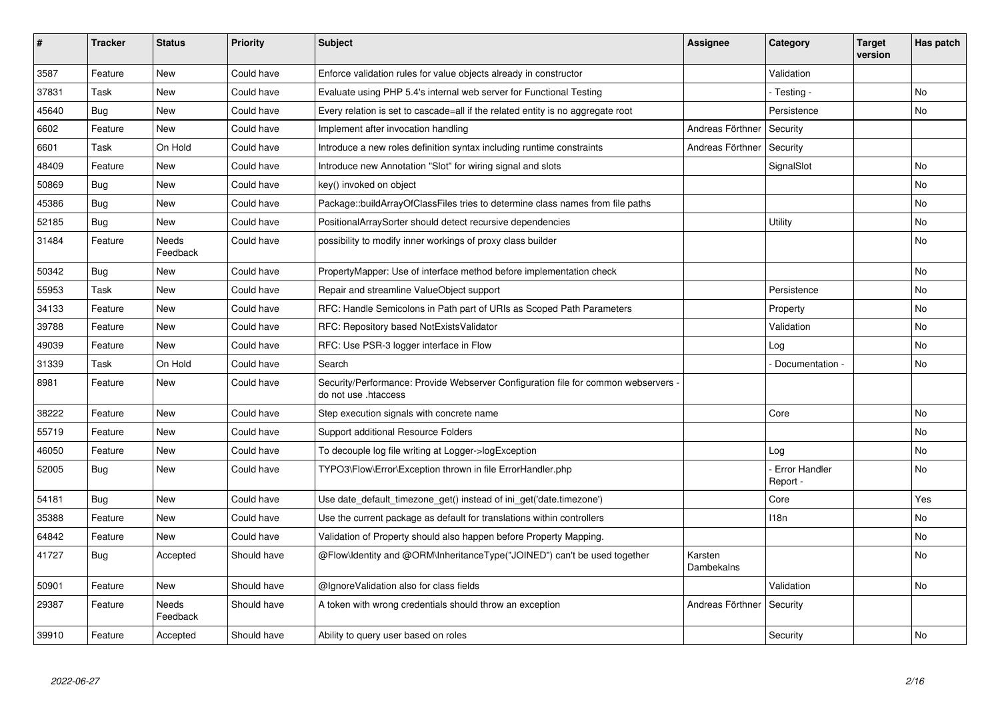| #     | <b>Tracker</b> | <b>Status</b>     | <b>Priority</b> | <b>Subject</b>                                                                                             | <b>Assignee</b>       | Category                  | Target<br>version | Has patch |
|-------|----------------|-------------------|-----------------|------------------------------------------------------------------------------------------------------------|-----------------------|---------------------------|-------------------|-----------|
| 3587  | Feature        | <b>New</b>        | Could have      | Enforce validation rules for value objects already in constructor                                          |                       | Validation                |                   |           |
| 37831 | Task           | New               | Could have      | Evaluate using PHP 5.4's internal web server for Functional Testing                                        |                       | - Testing -               |                   | No        |
| 45640 | Bug            | <b>New</b>        | Could have      | Every relation is set to cascade=all if the related entity is no aggregate root                            |                       | Persistence               |                   | No        |
| 6602  | Feature        | <b>New</b>        | Could have      | Implement after invocation handling                                                                        | Andreas Förthner      | Security                  |                   |           |
| 6601  | Task           | On Hold           | Could have      | Introduce a new roles definition syntax including runtime constraints                                      | Andreas Förthner      | Security                  |                   |           |
| 48409 | Feature        | <b>New</b>        | Could have      | Introduce new Annotation "Slot" for wiring signal and slots                                                |                       | SignalSlot                |                   | <b>No</b> |
| 50869 | <b>Bug</b>     | <b>New</b>        | Could have      | key() invoked on object                                                                                    |                       |                           |                   | No        |
| 45386 | Bug            | <b>New</b>        | Could have      | Package::buildArrayOfClassFiles tries to determine class names from file paths                             |                       |                           |                   | <b>No</b> |
| 52185 | <b>Bug</b>     | New               | Could have      | PositionalArraySorter should detect recursive dependencies                                                 |                       | Utility                   |                   | No        |
| 31484 | Feature        | Needs<br>Feedback | Could have      | possibility to modify inner workings of proxy class builder                                                |                       |                           |                   | No        |
| 50342 | <b>Bug</b>     | <b>New</b>        | Could have      | PropertyMapper: Use of interface method before implementation check                                        |                       |                           |                   | No        |
| 55953 | Task           | New               | Could have      | Repair and streamline ValueObject support                                                                  |                       | Persistence               |                   | No        |
| 34133 | Feature        | New               | Could have      | RFC: Handle Semicolons in Path part of URIs as Scoped Path Parameters                                      |                       | Property                  |                   | No        |
| 39788 | Feature        | <b>New</b>        | Could have      | RFC: Repository based NotExistsValidator                                                                   |                       | Validation                |                   | No        |
| 49039 | Feature        | New               | Could have      | RFC: Use PSR-3 logger interface in Flow                                                                    |                       | Log                       |                   | No        |
| 31339 | Task           | On Hold           | Could have      | Search                                                                                                     |                       | Documentation -           |                   | No        |
| 8981  | Feature        | <b>New</b>        | Could have      | Security/Performance: Provide Webserver Configuration file for common webservers -<br>do not use .htaccess |                       |                           |                   |           |
| 38222 | Feature        | <b>New</b>        | Could have      | Step execution signals with concrete name                                                                  |                       | Core                      |                   | <b>No</b> |
| 55719 | Feature        | <b>New</b>        | Could have      | Support additional Resource Folders                                                                        |                       |                           |                   | No        |
| 46050 | Feature        | New               | Could have      | To decouple log file writing at Logger->logException                                                       |                       | Log                       |                   | No        |
| 52005 | <b>Bug</b>     | <b>New</b>        | Could have      | TYPO3\Flow\Error\Exception thrown in file ErrorHandler.php                                                 |                       | - Error Handler<br>Report |                   | <b>No</b> |
| 54181 | Bug            | <b>New</b>        | Could have      | Use date_default_timezone_get() instead of ini_get('date.timezone')                                        |                       | Core                      |                   | Yes       |
| 35388 | Feature        | <b>New</b>        | Could have      | Use the current package as default for translations within controllers                                     |                       | 118n                      |                   | No.       |
| 64842 | Feature        | New               | Could have      | Validation of Property should also happen before Property Mapping.                                         |                       |                           |                   | No        |
| 41727 | Bug            | Accepted          | Should have     | @Flow\ldentity and @ORM\InheritanceType("JOINED") can't be used together                                   | Karsten<br>Dambekalns |                           |                   | No        |
| 50901 | Feature        | New               | Should have     | @IgnoreValidation also for class fields                                                                    |                       | Validation                |                   | No        |
| 29387 | Feature        | Needs<br>Feedback | Should have     | A token with wrong credentials should throw an exception                                                   | Andreas Förthner      | Security                  |                   |           |
| 39910 | Feature        | Accepted          | Should have     | Ability to query user based on roles                                                                       |                       | Security                  |                   | No        |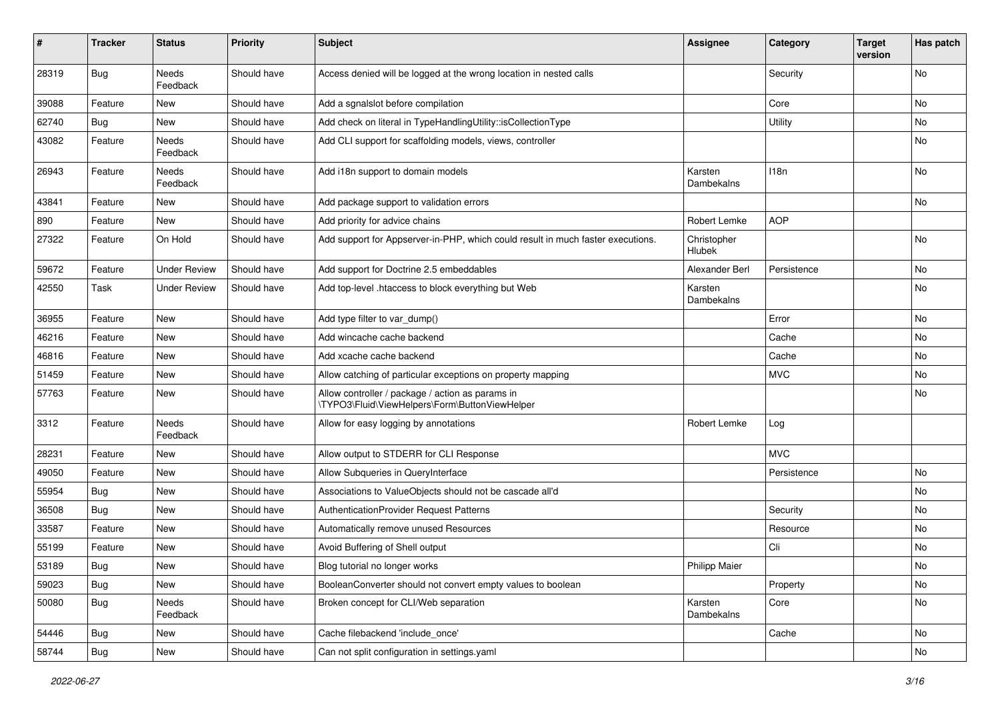| #     | <b>Tracker</b> | <b>Status</b>       | <b>Priority</b> | Subject                                                                                            | Assignee              | Category    | <b>Target</b><br>version | Has patch |
|-------|----------------|---------------------|-----------------|----------------------------------------------------------------------------------------------------|-----------------------|-------------|--------------------------|-----------|
| 28319 | <b>Bug</b>     | Needs<br>Feedback   | Should have     | Access denied will be logged at the wrong location in nested calls                                 |                       | Security    |                          | No        |
| 39088 | Feature        | New                 | Should have     | Add a sgnalslot before compilation                                                                 |                       | Core        |                          | No        |
| 62740 | Bug            | <b>New</b>          | Should have     | Add check on literal in TypeHandlingUtility::isCollectionType                                      |                       | Utility     |                          | No        |
| 43082 | Feature        | Needs<br>Feedback   | Should have     | Add CLI support for scaffolding models, views, controller                                          |                       |             |                          | No        |
| 26943 | Feature        | Needs<br>Feedback   | Should have     | Add i18n support to domain models                                                                  | Karsten<br>Dambekalns | 118n        |                          | No        |
| 43841 | Feature        | New                 | Should have     | Add package support to validation errors                                                           |                       |             |                          | No        |
| 890   | Feature        | New                 | Should have     | Add priority for advice chains                                                                     | Robert Lemke          | <b>AOP</b>  |                          |           |
| 27322 | Feature        | On Hold             | Should have     | Add support for Appserver-in-PHP, which could result in much faster executions.                    | Christopher<br>Hlubek |             |                          | No        |
| 59672 | Feature        | <b>Under Review</b> | Should have     | Add support for Doctrine 2.5 embeddables                                                           | Alexander Berl        | Persistence |                          | No        |
| 42550 | Task           | <b>Under Review</b> | Should have     | Add top-level .htaccess to block everything but Web                                                | Karsten<br>Dambekalns |             |                          | No        |
| 36955 | Feature        | New                 | Should have     | Add type filter to var_dump()                                                                      |                       | Error       |                          | No        |
| 46216 | Feature        | <b>New</b>          | Should have     | Add wincache cache backend                                                                         |                       | Cache       |                          | No        |
| 46816 | Feature        | New                 | Should have     | Add xcache cache backend                                                                           |                       | Cache       |                          | No        |
| 51459 | Feature        | New                 | Should have     | Allow catching of particular exceptions on property mapping                                        |                       | <b>MVC</b>  |                          | No        |
| 57763 | Feature        | New                 | Should have     | Allow controller / package / action as params in<br>\TYPO3\Fluid\ViewHelpers\Form\ButtonViewHelper |                       |             |                          | No        |
| 3312  | Feature        | Needs<br>Feedback   | Should have     | Allow for easy logging by annotations                                                              | Robert Lemke          | Log         |                          |           |
| 28231 | Feature        | New                 | Should have     | Allow output to STDERR for CLI Response                                                            |                       | <b>MVC</b>  |                          |           |
| 49050 | Feature        | New                 | Should have     | Allow Subqueries in QueryInterface                                                                 |                       | Persistence |                          | No        |
| 55954 | Bug            | New                 | Should have     | Associations to ValueObjects should not be cascade all'd                                           |                       |             |                          | No        |
| 36508 | Bug            | New                 | Should have     | AuthenticationProvider Request Patterns                                                            |                       | Security    |                          | No        |
| 33587 | Feature        | New                 | Should have     | Automatically remove unused Resources                                                              |                       | Resource    |                          | No        |
| 55199 | Feature        | New                 | Should have     | Avoid Buffering of Shell output                                                                    |                       | Cli         |                          | No        |
| 53189 | <b>Bug</b>     | New                 | Should have     | Blog tutorial no longer works                                                                      | Philipp Maier         |             |                          | No        |
| 59023 | <b>Bug</b>     | New                 | Should have     | BooleanConverter should not convert empty values to boolean                                        |                       | Property    |                          | No        |
| 50080 | Bug            | Needs<br>Feedback   | Should have     | Broken concept for CLI/Web separation                                                              | Karsten<br>Dambekalns | Core        |                          | No        |
| 54446 | <b>Bug</b>     | New                 | Should have     | Cache filebackend 'include_once'                                                                   |                       | Cache       |                          | No        |
| 58744 | <b>Bug</b>     | New                 | Should have     | Can not split configuration in settings yaml                                                       |                       |             |                          | No        |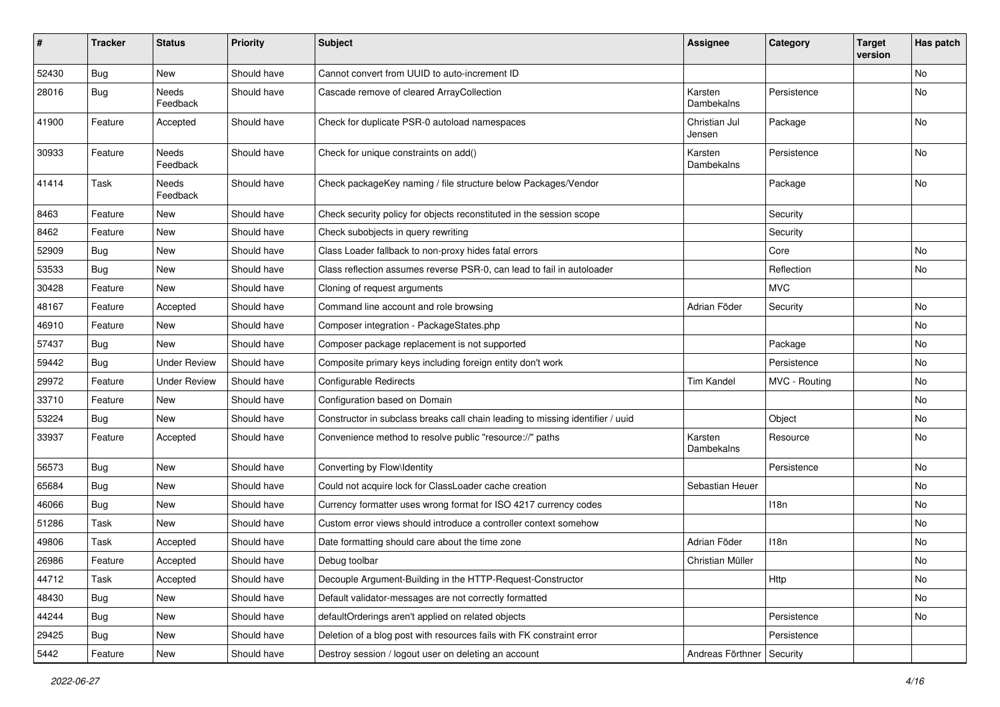| $\vert$ # | <b>Tracker</b> | <b>Status</b>            | <b>Priority</b> | <b>Subject</b>                                                                 | <b>Assignee</b>             | Category      | <b>Target</b><br>version | Has patch |
|-----------|----------------|--------------------------|-----------------|--------------------------------------------------------------------------------|-----------------------------|---------------|--------------------------|-----------|
| 52430     | Bug            | <b>New</b>               | Should have     | Cannot convert from UUID to auto-increment ID                                  |                             |               |                          | <b>No</b> |
| 28016     | <b>Bug</b>     | Needs<br>Feedback        | Should have     | Cascade remove of cleared ArrayCollection                                      | Karsten<br>Dambekalns       | Persistence   |                          | No        |
| 41900     | Feature        | Accepted                 | Should have     | Check for duplicate PSR-0 autoload namespaces                                  | Christian Jul<br>Jensen     | Package       |                          | No        |
| 30933     | Feature        | <b>Needs</b><br>Feedback | Should have     | Check for unique constraints on add()                                          | Karsten<br>Dambekalns       | Persistence   |                          | No        |
| 41414     | Task           | Needs<br>Feedback        | Should have     | Check packageKey naming / file structure below Packages/Vendor                 |                             | Package       |                          | <b>No</b> |
| 8463      | Feature        | New                      | Should have     | Check security policy for objects reconstituted in the session scope           |                             | Security      |                          |           |
| 8462      | Feature        | New                      | Should have     | Check subobjects in query rewriting                                            |                             | Security      |                          |           |
| 52909     | <b>Bug</b>     | New                      | Should have     | Class Loader fallback to non-proxy hides fatal errors                          |                             | Core          |                          | <b>No</b> |
| 53533     | <b>Bug</b>     | New                      | Should have     | Class reflection assumes reverse PSR-0, can lead to fail in autoloader         |                             | Reflection    |                          | No        |
| 30428     | Feature        | New                      | Should have     | Cloning of request arguments                                                   |                             | <b>MVC</b>    |                          |           |
| 48167     | Feature        | Accepted                 | Should have     | Command line account and role browsing                                         | Adrian Föder                | Security      |                          | No        |
| 46910     | Feature        | New                      | Should have     | Composer integration - PackageStates.php                                       |                             |               |                          | No        |
| 57437     | <b>Bug</b>     | New                      | Should have     | Composer package replacement is not supported                                  |                             | Package       |                          | No        |
| 59442     | <b>Bug</b>     | <b>Under Review</b>      | Should have     | Composite primary keys including foreign entity don't work                     |                             | Persistence   |                          | No        |
| 29972     | Feature        | <b>Under Review</b>      | Should have     | Configurable Redirects                                                         | <b>Tim Kandel</b>           | MVC - Routing |                          | <b>No</b> |
| 33710     | Feature        | New                      | Should have     | Configuration based on Domain                                                  |                             |               |                          | No        |
| 53224     | <b>Bug</b>     | New                      | Should have     | Constructor in subclass breaks call chain leading to missing identifier / uuid |                             | Object        |                          | No        |
| 33937     | Feature        | Accepted                 | Should have     | Convenience method to resolve public "resource://" paths                       | Karsten<br>Dambekalns       | Resource      |                          | No        |
| 56573     | <b>Bug</b>     | New                      | Should have     | Converting by Flow\Identity                                                    |                             | Persistence   |                          | No        |
| 65684     | <b>Bug</b>     | New                      | Should have     | Could not acquire lock for ClassLoader cache creation                          | Sebastian Heuer             |               |                          | No        |
| 46066     | Bug            | New                      | Should have     | Currency formatter uses wrong format for ISO 4217 currency codes               |                             | 118n          |                          | No        |
| 51286     | Task           | New                      | Should have     | Custom error views should introduce a controller context somehow               |                             |               |                          | No        |
| 49806     | Task           | Accepted                 | Should have     | Date formatting should care about the time zone                                | Adrian Föder                | 118n          |                          | No        |
| 26986     | Feature        | Accepted                 | Should have     | Debug toolbar                                                                  | Christian Müller            |               |                          | No        |
| 44712     | Task           | Accepted                 | Should have     | Decouple Argument-Building in the HTTP-Request-Constructor                     |                             | Http          |                          | No        |
| 48430     | <b>Bug</b>     | New                      | Should have     | Default validator-messages are not correctly formatted                         |                             |               |                          | No        |
| 44244     | <b>Bug</b>     | New                      | Should have     | defaultOrderings aren't applied on related objects                             |                             | Persistence   |                          | No        |
| 29425     | <b>Bug</b>     | New                      | Should have     | Deletion of a blog post with resources fails with FK constraint error          |                             | Persistence   |                          |           |
| 5442      | Feature        | New                      | Should have     | Destroy session / logout user on deleting an account                           | Andreas Förthner   Security |               |                          |           |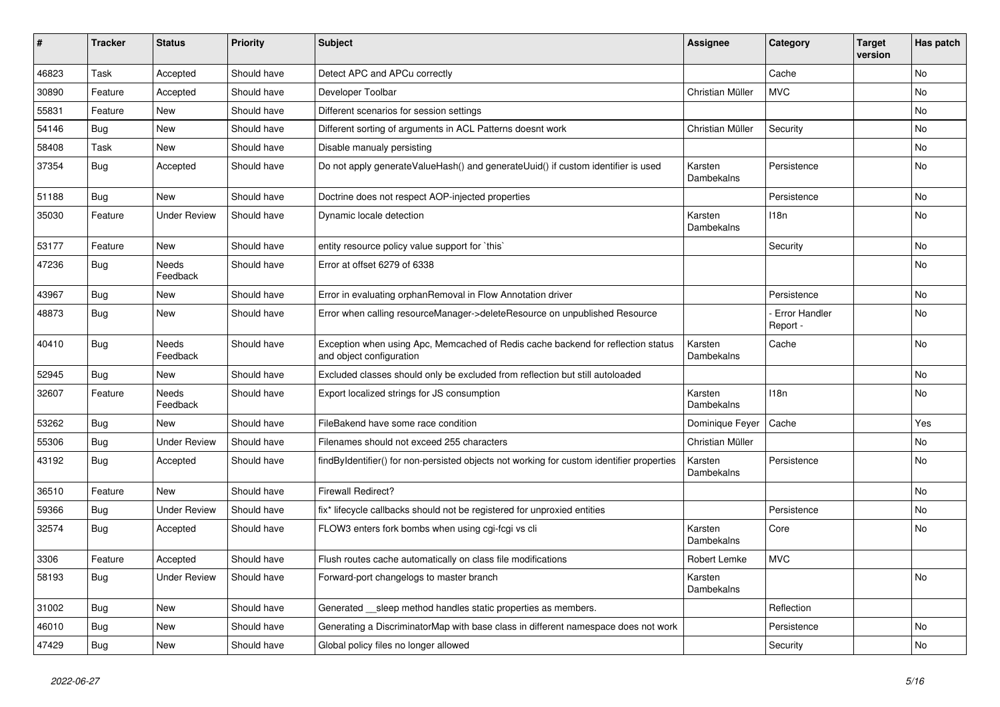| ∦     | <b>Tracker</b> | <b>Status</b>            | <b>Priority</b> | <b>Subject</b>                                                                                               | <b>Assignee</b>       | Category                  | <b>Target</b><br>version | Has patch |
|-------|----------------|--------------------------|-----------------|--------------------------------------------------------------------------------------------------------------|-----------------------|---------------------------|--------------------------|-----------|
| 46823 | Task           | Accepted                 | Should have     | Detect APC and APCu correctly                                                                                |                       | Cache                     |                          | <b>No</b> |
| 30890 | Feature        | Accepted                 | Should have     | Developer Toolbar                                                                                            | Christian Müller      | <b>MVC</b>                |                          | <b>No</b> |
| 55831 | Feature        | <b>New</b>               | Should have     | Different scenarios for session settings                                                                     |                       |                           |                          | <b>No</b> |
| 54146 | Bug            | <b>New</b>               | Should have     | Different sorting of arguments in ACL Patterns doesnt work                                                   | Christian Müller      | Security                  |                          | <b>No</b> |
| 58408 | Task           | <b>New</b>               | Should have     | Disable manualy persisting                                                                                   |                       |                           |                          | <b>No</b> |
| 37354 | Bug            | Accepted                 | Should have     | Do not apply generateValueHash() and generateUuid() if custom identifier is used                             | Karsten<br>Dambekalns | Persistence               |                          | <b>No</b> |
| 51188 | Bug            | <b>New</b>               | Should have     | Doctrine does not respect AOP-injected properties                                                            |                       | Persistence               |                          | No        |
| 35030 | Feature        | <b>Under Review</b>      | Should have     | Dynamic locale detection                                                                                     | Karsten<br>Dambekalns | 118n                      |                          | No        |
| 53177 | Feature        | <b>New</b>               | Should have     | entity resource policy value support for `this`                                                              |                       | Security                  |                          | No        |
| 47236 | Bug            | <b>Needs</b><br>Feedback | Should have     | Error at offset 6279 of 6338                                                                                 |                       |                           |                          | <b>No</b> |
| 43967 | Bug            | <b>New</b>               | Should have     | Error in evaluating orphanRemoval in Flow Annotation driver                                                  |                       | Persistence               |                          | No        |
| 48873 | <b>Bug</b>     | <b>New</b>               | Should have     | Error when calling resourceManager->deleteResource on unpublished Resource                                   |                       | Error Handler<br>Report - |                          | <b>No</b> |
| 40410 | Bug            | Needs<br>Feedback        | Should have     | Exception when using Apc, Memcached of Redis cache backend for reflection status<br>and object configuration | Karsten<br>Dambekalns | Cache                     |                          | No        |
| 52945 | Bug            | <b>New</b>               | Should have     | Excluded classes should only be excluded from reflection but still autoloaded                                |                       |                           |                          | <b>No</b> |
| 32607 | Feature        | <b>Needs</b><br>Feedback | Should have     | Export localized strings for JS consumption                                                                  | Karsten<br>Dambekalns | 118 <sub>n</sub>          |                          | <b>No</b> |
| 53262 | Bug            | <b>New</b>               | Should have     | FileBakend have some race condition                                                                          | Dominique Feyer       | Cache                     |                          | Yes       |
| 55306 | Bug            | <b>Under Review</b>      | Should have     | Filenames should not exceed 255 characters                                                                   | Christian Müller      |                           |                          | <b>No</b> |
| 43192 | Bug            | Accepted                 | Should have     | findByIdentifier() for non-persisted objects not working for custom identifier properties                    | Karsten<br>Dambekalns | Persistence               |                          | <b>No</b> |
| 36510 | Feature        | <b>New</b>               | Should have     | <b>Firewall Redirect?</b>                                                                                    |                       |                           |                          | No        |
| 59366 | <b>Bug</b>     | <b>Under Review</b>      | Should have     | fix* lifecycle callbacks should not be registered for unproxied entities                                     |                       | Persistence               |                          | No        |
| 32574 | Bug            | Accepted                 | Should have     | FLOW3 enters fork bombs when using cgi-fcgi vs cli                                                           | Karsten<br>Dambekalns | Core                      |                          | No        |
| 3306  | Feature        | Accepted                 | Should have     | Flush routes cache automatically on class file modifications                                                 | Robert Lemke          | <b>MVC</b>                |                          |           |
| 58193 | Bug            | <b>Under Review</b>      | Should have     | Forward-port changelogs to master branch                                                                     | Karsten<br>Dambekalns |                           |                          | No        |
| 31002 | <b>Bug</b>     | <b>New</b>               | Should have     | Generated sleep method handles static properties as members.                                                 |                       | Reflection                |                          |           |
| 46010 | Bug            | <b>New</b>               | Should have     | Generating a DiscriminatorMap with base class in different namespace does not work                           |                       | Persistence               |                          | <b>No</b> |
| 47429 | Bug            | <b>New</b>               | Should have     | Global policy files no longer allowed                                                                        |                       | Security                  |                          | No        |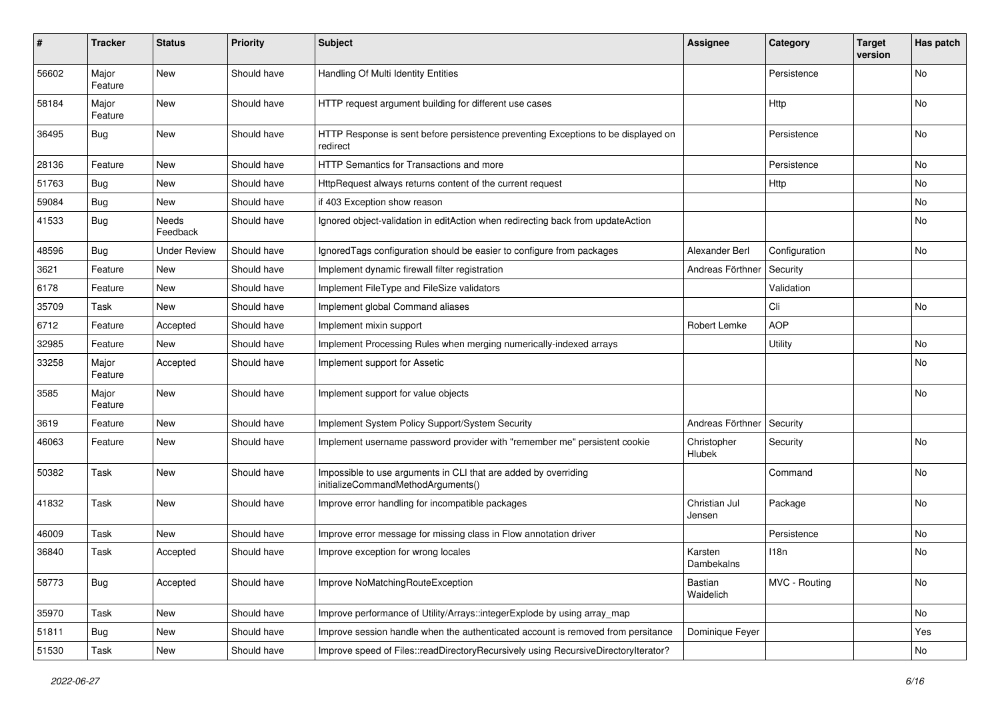| #     | Tracker          | <b>Status</b>       | <b>Priority</b> | <b>Subject</b>                                                                                        | <b>Assignee</b>              | Category      | <b>Target</b><br>version | Has patch |
|-------|------------------|---------------------|-----------------|-------------------------------------------------------------------------------------------------------|------------------------------|---------------|--------------------------|-----------|
| 56602 | Major<br>Feature | <b>New</b>          | Should have     | Handling Of Multi Identity Entities                                                                   |                              | Persistence   |                          | <b>No</b> |
| 58184 | Major<br>Feature | New                 | Should have     | HTTP request argument building for different use cases                                                |                              | Http          |                          | No        |
| 36495 | Bug              | New                 | Should have     | HTTP Response is sent before persistence preventing Exceptions to be displayed on<br>redirect         |                              | Persistence   |                          | <b>No</b> |
| 28136 | Feature          | New                 | Should have     | HTTP Semantics for Transactions and more                                                              |                              | Persistence   |                          | No        |
| 51763 | Bug              | New                 | Should have     | HttpRequest always returns content of the current request                                             |                              | <b>Http</b>   |                          | <b>No</b> |
| 59084 | Bug              | New                 | Should have     | if 403 Exception show reason                                                                          |                              |               |                          | No        |
| 41533 | Bug              | Needs<br>Feedback   | Should have     | Ignored object-validation in editAction when redirecting back from updateAction                       |                              |               |                          | No        |
| 48596 | <b>Bug</b>       | <b>Under Review</b> | Should have     | Ignored Tags configuration should be easier to configure from packages                                | Alexander Berl               | Configuration |                          | <b>No</b> |
| 3621  | Feature          | New                 | Should have     | Implement dynamic firewall filter registration                                                        | Andreas Förthner             | Security      |                          |           |
| 6178  | Feature          | New                 | Should have     | Implement FileType and FileSize validators                                                            |                              | Validation    |                          |           |
| 35709 | Task             | New                 | Should have     | Implement global Command aliases                                                                      |                              | Cli           |                          | No        |
| 6712  | Feature          | Accepted            | Should have     | Implement mixin support                                                                               | Robert Lemke                 | <b>AOP</b>    |                          |           |
| 32985 | Feature          | New                 | Should have     | Implement Processing Rules when merging numerically-indexed arrays                                    |                              | Utility       |                          | No        |
| 33258 | Major<br>Feature | Accepted            | Should have     | Implement support for Assetic                                                                         |                              |               |                          | No        |
| 3585  | Major<br>Feature | <b>New</b>          | Should have     | Implement support for value objects                                                                   |                              |               |                          | No        |
| 3619  | Feature          | <b>New</b>          | Should have     | Implement System Policy Support/System Security                                                       | Andreas Förthner             | Security      |                          |           |
| 46063 | Feature          | New                 | Should have     | Implement username password provider with "remember me" persistent cookie                             | Christopher<br><b>Hlubek</b> | Security      |                          | No        |
| 50382 | Task             | New                 | Should have     | Impossible to use arguments in CLI that are added by overriding<br>initializeCommandMethodArguments() |                              | Command       |                          | No        |
| 41832 | Task             | New                 | Should have     | Improve error handling for incompatible packages                                                      | Christian Jul<br>Jensen      | Package       |                          | No        |
| 46009 | Task             | New                 | Should have     | Improve error message for missing class in Flow annotation driver                                     |                              | Persistence   |                          | No        |
| 36840 | Task             | Accepted            | Should have     | Improve exception for wrong locales                                                                   | Karsten<br>Dambekalns        | 118n          |                          | No        |
| 58773 | Bug              | Accepted            | Should have     | Improve NoMatchingRouteException                                                                      | Bastian<br>Waidelich         | MVC - Routing |                          | No        |
| 35970 | Task             | New                 | Should have     | Improve performance of Utility/Arrays::integerExplode by using array_map                              |                              |               |                          | No        |
| 51811 | <b>Bug</b>       | New                 | Should have     | Improve session handle when the authenticated account is removed from persitance                      | Dominique Feyer              |               |                          | Yes       |
| 51530 | Task             | New                 | Should have     | Improve speed of Files::readDirectoryRecursively using RecursiveDirectoryIterator?                    |                              |               |                          | No        |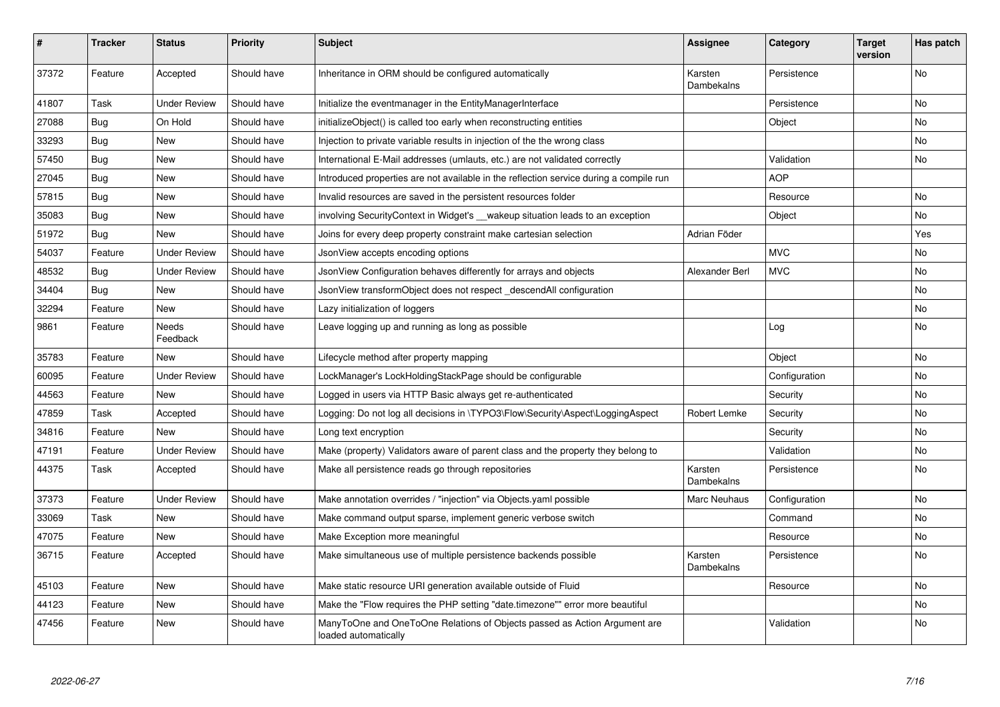| #     | <b>Tracker</b> | <b>Status</b>            | <b>Priority</b> | <b>Subject</b>                                                                                    | <b>Assignee</b>       | Category      | <b>Target</b><br>version | Has patch      |
|-------|----------------|--------------------------|-----------------|---------------------------------------------------------------------------------------------------|-----------------------|---------------|--------------------------|----------------|
| 37372 | Feature        | Accepted                 | Should have     | Inheritance in ORM should be configured automatically                                             | Karsten<br>Dambekalns | Persistence   |                          | <b>No</b>      |
| 41807 | Task           | <b>Under Review</b>      | Should have     | Initialize the eventmanager in the EntityManagerInterface                                         |                       | Persistence   |                          | <b>No</b>      |
| 27088 | Bug            | On Hold                  | Should have     | initializeObject() is called too early when reconstructing entities                               |                       | Object        |                          | <b>No</b>      |
| 33293 | Bug            | <b>New</b>               | Should have     | Injection to private variable results in injection of the the wrong class                         |                       |               |                          | No             |
| 57450 | <b>Bug</b>     | <b>New</b>               | Should have     | International E-Mail addresses (umlauts, etc.) are not validated correctly                        |                       | Validation    |                          | No             |
| 27045 | Bug            | New                      | Should have     | Introduced properties are not available in the reflection service during a compile run            |                       | <b>AOP</b>    |                          |                |
| 57815 | Bug            | <b>New</b>               | Should have     | Invalid resources are saved in the persistent resources folder                                    |                       | Resource      |                          | No             |
| 35083 | Bug            | <b>New</b>               | Should have     | involving SecurityContext in Widget's __wakeup situation leads to an exception                    |                       | Object        |                          | N <sub>o</sub> |
| 51972 | Bug            | <b>New</b>               | Should have     | Joins for every deep property constraint make cartesian selection                                 | Adrian Föder          |               |                          | Yes            |
| 54037 | Feature        | <b>Under Review</b>      | Should have     | JsonView accepts encoding options                                                                 |                       | <b>MVC</b>    |                          | <b>No</b>      |
| 48532 | Bug            | <b>Under Review</b>      | Should have     | JsonView Configuration behaves differently for arrays and objects                                 | Alexander Berl        | <b>MVC</b>    |                          | No             |
| 34404 | Bug            | <b>New</b>               | Should have     | JsonView transformObject does not respect descendAll configuration                                |                       |               |                          | <b>No</b>      |
| 32294 | Feature        | New                      | Should have     | Lazy initialization of loggers                                                                    |                       |               |                          | No             |
| 9861  | Feature        | <b>Needs</b><br>Feedback | Should have     | Leave logging up and running as long as possible                                                  |                       | Log           |                          | No             |
| 35783 | Feature        | <b>New</b>               | Should have     | Lifecycle method after property mapping                                                           |                       | Object        |                          | <b>No</b>      |
| 60095 | Feature        | <b>Under Review</b>      | Should have     | LockManager's LockHoldingStackPage should be configurable                                         |                       | Configuration |                          | <b>No</b>      |
| 44563 | Feature        | New                      | Should have     | Logged in users via HTTP Basic always get re-authenticated                                        |                       | Security      |                          | No             |
| 47859 | Task           | Accepted                 | Should have     | Logging: Do not log all decisions in \TYPO3\Flow\Security\Aspect\LoggingAspect                    | Robert Lemke          | Security      |                          | <b>No</b>      |
| 34816 | Feature        | New                      | Should have     | Long text encryption                                                                              |                       | Security      |                          | No             |
| 47191 | Feature        | <b>Under Review</b>      | Should have     | Make (property) Validators aware of parent class and the property they belong to                  |                       | Validation    |                          | No             |
| 44375 | Task           | Accepted                 | Should have     | Make all persistence reads go through repositories                                                | Karsten<br>Dambekalns | Persistence   |                          | No             |
| 37373 | Feature        | <b>Under Review</b>      | Should have     | Make annotation overrides / "injection" via Objects.yaml possible                                 | Marc Neuhaus          | Configuration |                          | No             |
| 33069 | Task           | <b>New</b>               | Should have     | Make command output sparse, implement generic verbose switch                                      |                       | Command       |                          | No             |
| 47075 | Feature        | <b>New</b>               | Should have     | Make Exception more meaningful                                                                    |                       | Resource      |                          | No             |
| 36715 | Feature        | Accepted                 | Should have     | Make simultaneous use of multiple persistence backends possible                                   | Karsten<br>Dambekalns | Persistence   |                          | <b>No</b>      |
| 45103 | Feature        | <b>New</b>               | Should have     | Make static resource URI generation available outside of Fluid                                    |                       | Resource      |                          | No             |
| 44123 | Feature        | <b>New</b>               | Should have     | Make the "Flow requires the PHP setting "date.timezone"" error more beautiful                     |                       |               |                          | <b>No</b>      |
| 47456 | Feature        | <b>New</b>               | Should have     | ManyToOne and OneToOne Relations of Objects passed as Action Argument are<br>loaded automatically |                       | Validation    |                          | <b>No</b>      |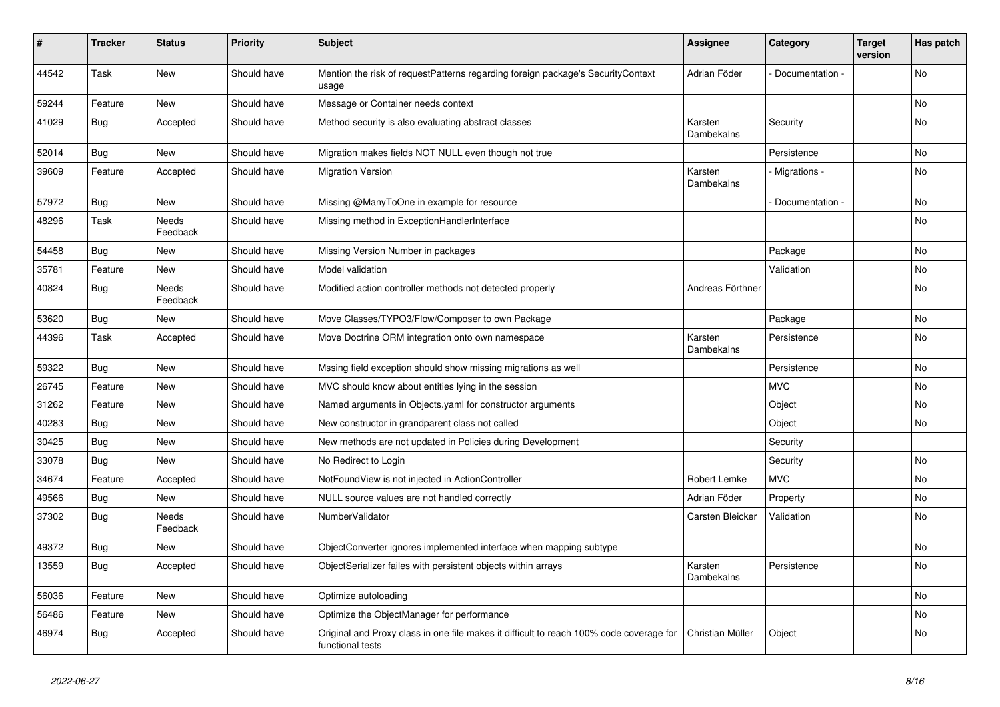| #     | <b>Tracker</b> | <b>Status</b>            | <b>Priority</b> | <b>Subject</b>                                                                                              | <b>Assignee</b>       | Category        | <b>Target</b><br>version | Has patch |
|-------|----------------|--------------------------|-----------------|-------------------------------------------------------------------------------------------------------------|-----------------------|-----------------|--------------------------|-----------|
| 44542 | Task           | New                      | Should have     | Mention the risk of requestPatterns regarding foreign package's SecurityContext<br>usage                    | Adrian Föder          | Documentation - |                          | <b>No</b> |
| 59244 | Feature        | <b>New</b>               | Should have     | Message or Container needs context                                                                          |                       |                 |                          | <b>No</b> |
| 41029 | Bug            | Accepted                 | Should have     | Method security is also evaluating abstract classes                                                         | Karsten<br>Dambekalns | Security        |                          | <b>No</b> |
| 52014 | <b>Bug</b>     | New                      | Should have     | Migration makes fields NOT NULL even though not true                                                        |                       | Persistence     |                          | No        |
| 39609 | Feature        | Accepted                 | Should have     | <b>Migration Version</b>                                                                                    | Karsten<br>Dambekalns | Migrations -    |                          | No        |
| 57972 | Bug            | <b>New</b>               | Should have     | Missing @ManyToOne in example for resource                                                                  |                       | Documentation - |                          | No        |
| 48296 | Task           | <b>Needs</b><br>Feedback | Should have     | Missing method in ExceptionHandlerInterface                                                                 |                       |                 |                          | <b>No</b> |
| 54458 | Bug            | <b>New</b>               | Should have     | Missing Version Number in packages                                                                          |                       | Package         |                          | <b>No</b> |
| 35781 | Feature        | <b>New</b>               | Should have     | Model validation                                                                                            |                       | Validation      |                          | No.       |
| 40824 | Bug            | Needs<br>Feedback        | Should have     | Modified action controller methods not detected properly                                                    | Andreas Förthner      |                 |                          | No        |
| 53620 | <b>Bug</b>     | <b>New</b>               | Should have     | Move Classes/TYPO3/Flow/Composer to own Package                                                             |                       | Package         |                          | No        |
| 44396 | Task           | Accepted                 | Should have     | Move Doctrine ORM integration onto own namespace                                                            | Karsten<br>Dambekalns | Persistence     |                          | No        |
| 59322 | Bug            | <b>New</b>               | Should have     | Mssing field exception should show missing migrations as well                                               |                       | Persistence     |                          | No.       |
| 26745 | Feature        | <b>New</b>               | Should have     | MVC should know about entities lying in the session                                                         |                       | <b>MVC</b>      |                          | No        |
| 31262 | Feature        | New                      | Should have     | Named arguments in Objects yaml for constructor arguments                                                   |                       | Object          |                          | No        |
| 40283 | <b>Bug</b>     | <b>New</b>               | Should have     | New constructor in grandparent class not called                                                             |                       | Object          |                          | No        |
| 30425 | Bug            | New                      | Should have     | New methods are not updated in Policies during Development                                                  |                       | Security        |                          |           |
| 33078 | Bug            | <b>New</b>               | Should have     | No Redirect to Login                                                                                        |                       | Security        |                          | No        |
| 34674 | Feature        | Accepted                 | Should have     | NotFoundView is not injected in ActionController                                                            | Robert Lemke          | <b>MVC</b>      |                          | No.       |
| 49566 | Bug            | <b>New</b>               | Should have     | NULL source values are not handled correctly                                                                | Adrian Föder          | Property        |                          | No        |
| 37302 | Bug            | Needs<br>Feedback        | Should have     | NumberValidator                                                                                             | Carsten Bleicker      | Validation      |                          | <b>No</b> |
| 49372 | Bug            | New                      | Should have     | ObjectConverter ignores implemented interface when mapping subtype                                          |                       |                 |                          | No        |
| 13559 | <b>Bug</b>     | Accepted                 | Should have     | ObjectSerializer failes with persistent objects within arrays                                               | Karsten<br>Dambekalns | Persistence     |                          | No        |
| 56036 | Feature        | <b>New</b>               | Should have     | Optimize autoloading                                                                                        |                       |                 |                          | No.       |
| 56486 | Feature        | New                      | Should have     | Optimize the ObjectManager for performance                                                                  |                       |                 |                          | No        |
| 46974 | Bug            | Accepted                 | Should have     | Original and Proxy class in one file makes it difficult to reach 100% code coverage for<br>functional tests | Christian Müller      | Object          |                          | No.       |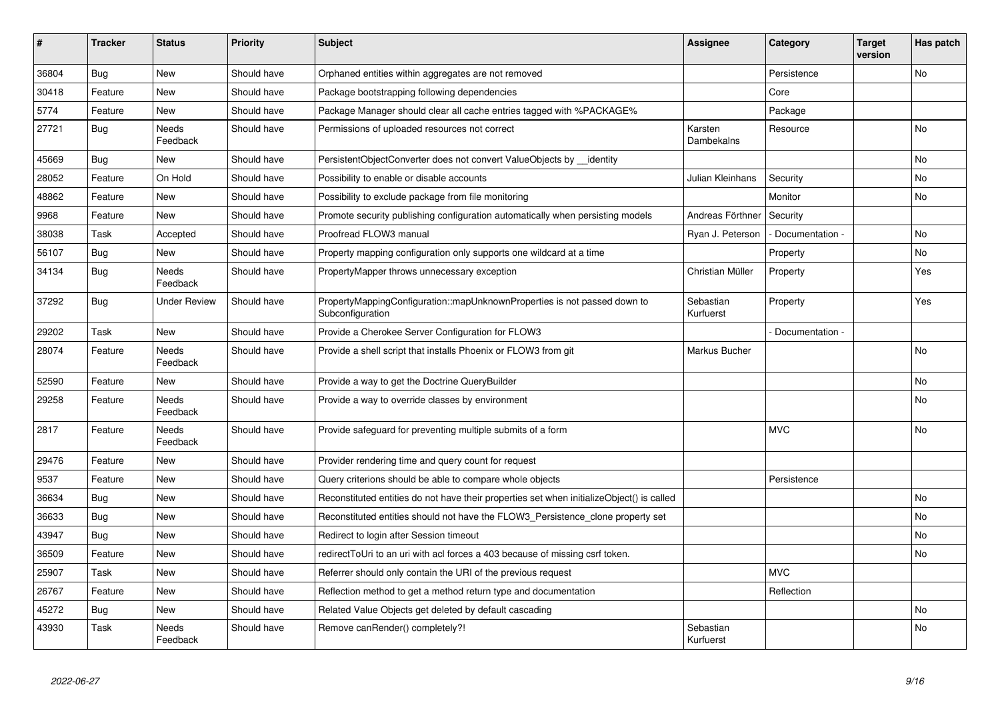| #     | <b>Tracker</b> | <b>Status</b>            | <b>Priority</b> | <b>Subject</b>                                                                               | Assignee               | Category          | <b>Target</b><br>version | Has patch |
|-------|----------------|--------------------------|-----------------|----------------------------------------------------------------------------------------------|------------------------|-------------------|--------------------------|-----------|
| 36804 | <b>Bug</b>     | <b>New</b>               | Should have     | Orphaned entities within aggregates are not removed                                          |                        | Persistence       |                          | <b>No</b> |
| 30418 | Feature        | <b>New</b>               | Should have     | Package bootstrapping following dependencies                                                 |                        | Core              |                          |           |
| 5774  | Feature        | <b>New</b>               | Should have     | Package Manager should clear all cache entries tagged with %PACKAGE%                         |                        | Package           |                          |           |
| 27721 | Bug            | Needs<br>Feedback        | Should have     | Permissions of uploaded resources not correct                                                | Karsten<br>Dambekalns  | Resource          |                          | No        |
| 45669 | Bug            | <b>New</b>               | Should have     | PersistentObjectConverter does not convert ValueObjects by identity                          |                        |                   |                          | <b>No</b> |
| 28052 | Feature        | On Hold                  | Should have     | Possibility to enable or disable accounts                                                    | Julian Kleinhans       | Security          |                          | <b>No</b> |
| 48862 | Feature        | <b>New</b>               | Should have     | Possibility to exclude package from file monitoring                                          |                        | Monitor           |                          | <b>No</b> |
| 9968  | Feature        | New                      | Should have     | Promote security publishing configuration automatically when persisting models               | Andreas Förthner       | Security          |                          |           |
| 38038 | Task           | Accepted                 | Should have     | Proofread FLOW3 manual                                                                       | Ryan J. Peterson       | - Documentation - |                          | No        |
| 56107 | <b>Bug</b>     | New                      | Should have     | Property mapping configuration only supports one wildcard at a time                          |                        | Property          |                          | <b>No</b> |
| 34134 | Bug            | Needs<br>Feedback        | Should have     | PropertyMapper throws unnecessary exception                                                  | Christian Müller       | Property          |                          | Yes       |
| 37292 | Bug            | <b>Under Review</b>      | Should have     | PropertyMappingConfiguration::mapUnknownProperties is not passed down to<br>Subconfiguration | Sebastian<br>Kurfuerst | Property          |                          | Yes       |
| 29202 | Task           | <b>New</b>               | Should have     | Provide a Cherokee Server Configuration for FLOW3                                            |                        | Documentation -   |                          |           |
| 28074 | Feature        | Needs<br>Feedback        | Should have     | Provide a shell script that installs Phoenix or FLOW3 from git                               | Markus Bucher          |                   |                          | <b>No</b> |
| 52590 | Feature        | <b>New</b>               | Should have     | Provide a way to get the Doctrine QueryBuilder                                               |                        |                   |                          | No        |
| 29258 | Feature        | Needs<br>Feedback        | Should have     | Provide a way to override classes by environment                                             |                        |                   |                          | No        |
| 2817  | Feature        | Needs<br>Feedback        | Should have     | Provide safeguard for preventing multiple submits of a form                                  |                        | <b>MVC</b>        |                          | <b>No</b> |
| 29476 | Feature        | <b>New</b>               | Should have     | Provider rendering time and query count for request                                          |                        |                   |                          |           |
| 9537  | Feature        | <b>New</b>               | Should have     | Query criterions should be able to compare whole objects                                     |                        | Persistence       |                          |           |
| 36634 | Bug            | <b>New</b>               | Should have     | Reconstituted entities do not have their properties set when initializeObject() is called    |                        |                   |                          | <b>No</b> |
| 36633 | Bug            | New                      | Should have     | Reconstituted entities should not have the FLOW3 Persistence clone property set              |                        |                   |                          | <b>No</b> |
| 43947 | <b>Bug</b>     | <b>New</b>               | Should have     | Redirect to login after Session timeout                                                      |                        |                   |                          | <b>No</b> |
| 36509 | Feature        | <b>New</b>               | Should have     | redirectToUri to an uri with acl forces a 403 because of missing csrf token.                 |                        |                   |                          | No        |
| 25907 | Task           | <b>New</b>               | Should have     | Referrer should only contain the URI of the previous request                                 |                        | <b>MVC</b>        |                          |           |
| 26767 | Feature        | <b>New</b>               | Should have     | Reflection method to get a method return type and documentation                              |                        | Reflection        |                          |           |
| 45272 | Bug            | New                      | Should have     | Related Value Objects get deleted by default cascading                                       |                        |                   |                          | <b>No</b> |
| 43930 | Task           | <b>Needs</b><br>Feedback | Should have     | Remove canRender() completely?!                                                              | Sebastian<br>Kurfuerst |                   |                          | <b>No</b> |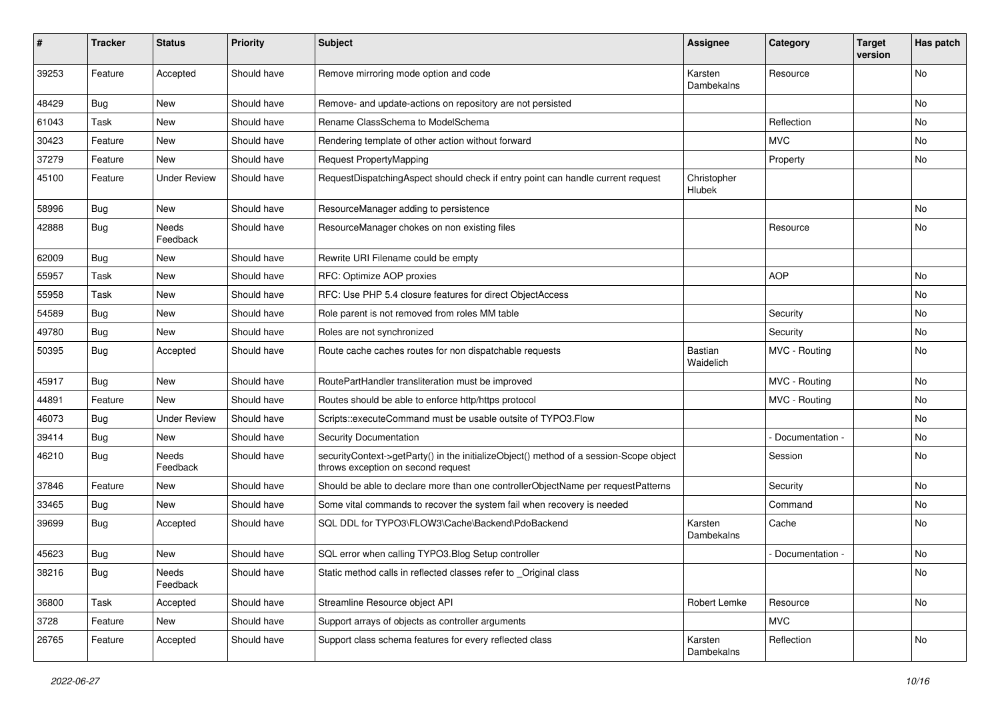| ∦     | <b>Tracker</b> | <b>Status</b>       | <b>Priority</b> | <b>Subject</b>                                                                                                               | Assignee              | Category        | <b>Target</b><br>version | Has patch |
|-------|----------------|---------------------|-----------------|------------------------------------------------------------------------------------------------------------------------------|-----------------------|-----------------|--------------------------|-----------|
| 39253 | Feature        | Accepted            | Should have     | Remove mirroring mode option and code                                                                                        | Karsten<br>Dambekalns | Resource        |                          | No        |
| 48429 | Bug            | New                 | Should have     | Remove- and update-actions on repository are not persisted                                                                   |                       |                 |                          | No        |
| 61043 | Task           | <b>New</b>          | Should have     | Rename ClassSchema to ModelSchema                                                                                            |                       | Reflection      |                          | <b>No</b> |
| 30423 | Feature        | New                 | Should have     | Rendering template of other action without forward                                                                           |                       | <b>MVC</b>      |                          | No        |
| 37279 | Feature        | <b>New</b>          | Should have     | <b>Request PropertyMapping</b>                                                                                               |                       | Property        |                          | No        |
| 45100 | Feature        | <b>Under Review</b> | Should have     | RequestDispatchingAspect should check if entry point can handle current request                                              | Christopher<br>Hlubek |                 |                          |           |
| 58996 | <b>Bug</b>     | New                 | Should have     | ResourceManager adding to persistence                                                                                        |                       |                 |                          | No        |
| 42888 | Bug            | Needs<br>Feedback   | Should have     | ResourceManager chokes on non existing files                                                                                 |                       | Resource        |                          | No        |
| 62009 | Bug            | <b>New</b>          | Should have     | Rewrite URI Filename could be empty                                                                                          |                       |                 |                          |           |
| 55957 | Task           | New                 | Should have     | RFC: Optimize AOP proxies                                                                                                    |                       | <b>AOP</b>      |                          | No        |
| 55958 | Task           | <b>New</b>          | Should have     | RFC: Use PHP 5.4 closure features for direct ObjectAccess                                                                    |                       |                 |                          | No        |
| 54589 | <b>Bug</b>     | New                 | Should have     | Role parent is not removed from roles MM table                                                                               |                       | Security        |                          | No        |
| 49780 | Bug            | New                 | Should have     | Roles are not synchronized                                                                                                   |                       | Security        |                          | <b>No</b> |
| 50395 | Bug            | Accepted            | Should have     | Route cache caches routes for non dispatchable requests                                                                      | Bastian<br>Waidelich  | MVC - Routing   |                          | No        |
| 45917 | Bug            | <b>New</b>          | Should have     | RoutePartHandler transliteration must be improved                                                                            |                       | MVC - Routing   |                          | No        |
| 44891 | Feature        | <b>New</b>          | Should have     | Routes should be able to enforce http/https protocol                                                                         |                       | MVC - Routing   |                          | <b>No</b> |
| 46073 | Bug            | <b>Under Review</b> | Should have     | Scripts::executeCommand must be usable outsite of TYPO3.Flow                                                                 |                       |                 |                          | No        |
| 39414 | Bug            | <b>New</b>          | Should have     | <b>Security Documentation</b>                                                                                                |                       | Documentation - |                          | No        |
| 46210 | Bug            | Needs<br>Feedback   | Should have     | securityContext->getParty() in the initializeObject() method of a session-Scope object<br>throws exception on second request |                       | Session         |                          | No        |
| 37846 | Feature        | New                 | Should have     | Should be able to declare more than one controllerObjectName per requestPatterns                                             |                       | Security        |                          | No        |
| 33465 | Bug            | <b>New</b>          | Should have     | Some vital commands to recover the system fail when recovery is needed                                                       |                       | Command         |                          | No        |
| 39699 | <b>Bug</b>     | Accepted            | Should have     | SQL DDL for TYPO3\FLOW3\Cache\Backend\PdoBackend                                                                             | Karsten<br>Dambekalns | Cache           |                          | No        |
| 45623 | Bug            | New                 | Should have     | SQL error when calling TYPO3. Blog Setup controller                                                                          |                       | Documentation - |                          | No        |
| 38216 | <b>Bug</b>     | Needs<br>Feedback   | Should have     | Static method calls in reflected classes refer to _Original class                                                            |                       |                 |                          | No        |
| 36800 | Task           | Accepted            | Should have     | Streamline Resource object API                                                                                               | Robert Lemke          | Resource        |                          | No        |
| 3728  | Feature        | New                 | Should have     | Support arrays of objects as controller arguments                                                                            |                       | <b>MVC</b>      |                          |           |
| 26765 | Feature        | Accepted            | Should have     | Support class schema features for every reflected class                                                                      | Karsten<br>Dambekalns | Reflection      |                          | No        |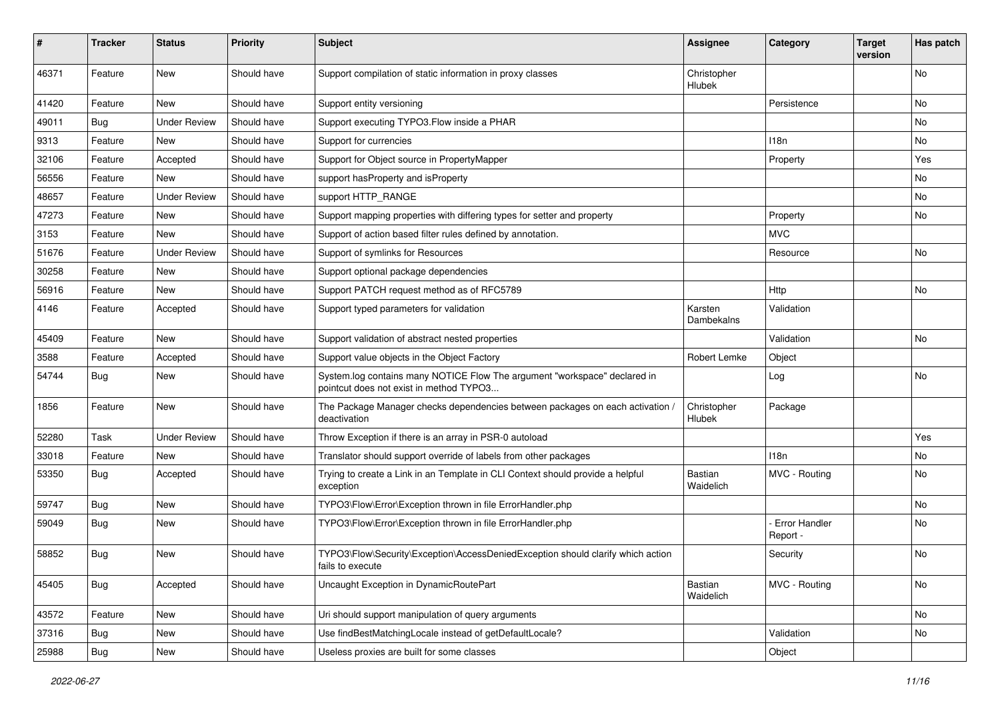| #     | <b>Tracker</b> | <b>Status</b>       | <b>Priority</b> | <b>Subject</b>                                                                                                       | Assignee              | Category                    | <b>Target</b><br>version | Has patch |
|-------|----------------|---------------------|-----------------|----------------------------------------------------------------------------------------------------------------------|-----------------------|-----------------------------|--------------------------|-----------|
| 46371 | Feature        | New                 | Should have     | Support compilation of static information in proxy classes                                                           | Christopher<br>Hlubek |                             |                          | No        |
| 41420 | Feature        | New                 | Should have     | Support entity versioning                                                                                            |                       | Persistence                 |                          | No        |
| 49011 | Bug            | <b>Under Review</b> | Should have     | Support executing TYPO3. Flow inside a PHAR                                                                          |                       |                             |                          | No        |
| 9313  | Feature        | New                 | Should have     | Support for currencies                                                                                               |                       | 118n                        |                          | No        |
| 32106 | Feature        | Accepted            | Should have     | Support for Object source in PropertyMapper                                                                          |                       | Property                    |                          | Yes       |
| 56556 | Feature        | New                 | Should have     | support hasProperty and isProperty                                                                                   |                       |                             |                          | No        |
| 48657 | Feature        | <b>Under Review</b> | Should have     | support HTTP_RANGE                                                                                                   |                       |                             |                          | No        |
| 47273 | Feature        | New                 | Should have     | Support mapping properties with differing types for setter and property                                              |                       | Property                    |                          | No        |
| 3153  | Feature        | New                 | Should have     | Support of action based filter rules defined by annotation.                                                          |                       | <b>MVC</b>                  |                          |           |
| 51676 | Feature        | <b>Under Review</b> | Should have     | Support of symlinks for Resources                                                                                    |                       | Resource                    |                          | No.       |
| 30258 | Feature        | New                 | Should have     | Support optional package dependencies                                                                                |                       |                             |                          |           |
| 56916 | Feature        | New                 | Should have     | Support PATCH request method as of RFC5789                                                                           |                       | Http                        |                          | No        |
| 4146  | Feature        | Accepted            | Should have     | Support typed parameters for validation                                                                              | Karsten<br>Dambekalns | Validation                  |                          |           |
| 45409 | Feature        | New                 | Should have     | Support validation of abstract nested properties                                                                     |                       | Validation                  |                          | No        |
| 3588  | Feature        | Accepted            | Should have     | Support value objects in the Object Factory                                                                          | Robert Lemke          | Object                      |                          |           |
| 54744 | Bug            | New                 | Should have     | System.log contains many NOTICE Flow The argument "workspace" declared in<br>pointcut does not exist in method TYPO3 |                       | Log                         |                          | No        |
| 1856  | Feature        | <b>New</b>          | Should have     | The Package Manager checks dependencies between packages on each activation /<br>deactivation                        | Christopher<br>Hlubek | Package                     |                          |           |
| 52280 | Task           | <b>Under Review</b> | Should have     | Throw Exception if there is an array in PSR-0 autoload                                                               |                       |                             |                          | Yes       |
| 33018 | Feature        | New                 | Should have     | Translator should support override of labels from other packages                                                     |                       | 118n                        |                          | No        |
| 53350 | Bug            | Accepted            | Should have     | Trying to create a Link in an Template in CLI Context should provide a helpful<br>exception                          | Bastian<br>Waidelich  | MVC - Routing               |                          | No        |
| 59747 | <b>Bug</b>     | <b>New</b>          | Should have     | TYPO3\Flow\Error\Exception thrown in file ErrorHandler.php                                                           |                       |                             |                          | No        |
| 59049 | Bug            | New                 | Should have     | TYPO3\Flow\Error\Exception thrown in file ErrorHandler.php                                                           |                       | - Error Handler<br>Report - |                          | No        |
| 58852 | <b>Bug</b>     | New                 | Should have     | TYPO3\Flow\Security\Exception\AccessDeniedException should clarify which action<br>fails to execute                  |                       | Security                    |                          | No        |
| 45405 | Bug            | Accepted            | Should have     | Uncaught Exception in DynamicRoutePart                                                                               | Bastian<br>Waidelich  | MVC - Routing               |                          | No        |
| 43572 | Feature        | New                 | Should have     | Uri should support manipulation of query arguments                                                                   |                       |                             |                          | No        |
| 37316 | Bug            | New                 | Should have     | Use findBestMatchingLocale instead of getDefaultLocale?                                                              |                       | Validation                  |                          | No        |
| 25988 | Bug            | New                 | Should have     | Useless proxies are built for some classes                                                                           |                       | Object                      |                          |           |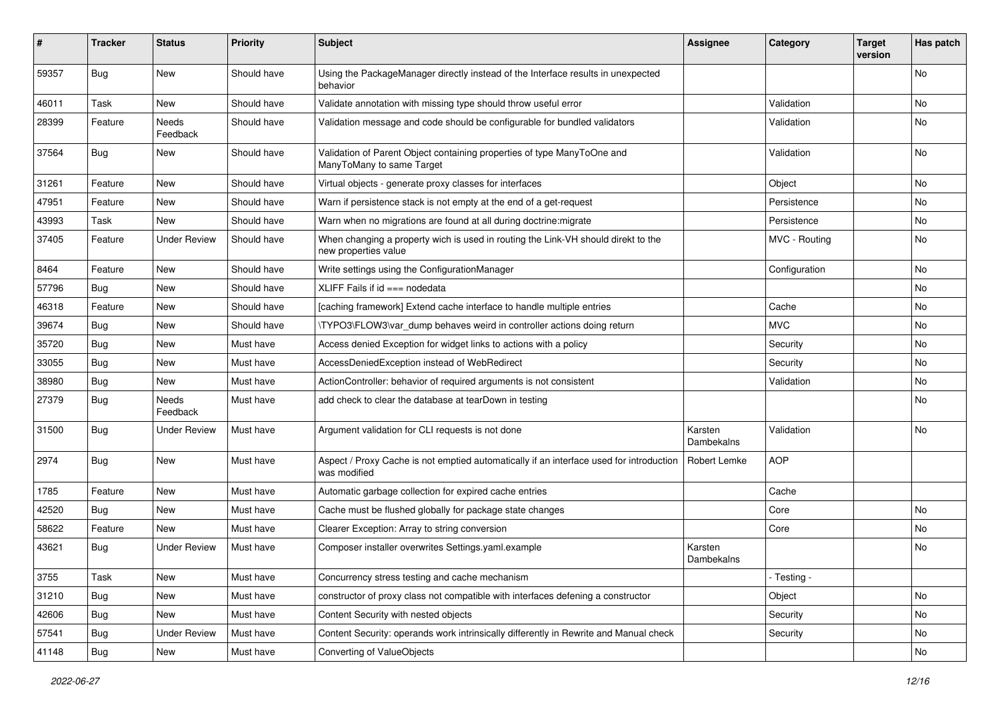| #     | <b>Tracker</b> | <b>Status</b>            | <b>Priority</b> | <b>Subject</b>                                                                                            | Assignee              | Category      | <b>Target</b><br>version | Has patch |
|-------|----------------|--------------------------|-----------------|-----------------------------------------------------------------------------------------------------------|-----------------------|---------------|--------------------------|-----------|
| 59357 | Bug            | New                      | Should have     | Using the PackageManager directly instead of the Interface results in unexpected<br>behavior              |                       |               |                          | No        |
| 46011 | Task           | New                      | Should have     | Validate annotation with missing type should throw useful error                                           |                       | Validation    |                          | <b>No</b> |
| 28399 | Feature        | <b>Needs</b><br>Feedback | Should have     | Validation message and code should be configurable for bundled validators                                 |                       | Validation    |                          | No        |
| 37564 | Bug            | New                      | Should have     | Validation of Parent Object containing properties of type ManyToOne and<br>ManyToMany to same Target      |                       | Validation    |                          | No        |
| 31261 | Feature        | New                      | Should have     | Virtual objects - generate proxy classes for interfaces                                                   |                       | Object        |                          | No        |
| 47951 | Feature        | <b>New</b>               | Should have     | Warn if persistence stack is not empty at the end of a get-request                                        |                       | Persistence   |                          | <b>No</b> |
| 43993 | Task           | New                      | Should have     | Warn when no migrations are found at all during doctrine: migrate                                         |                       | Persistence   |                          | No        |
| 37405 | Feature        | <b>Under Review</b>      | Should have     | When changing a property wich is used in routing the Link-VH should direkt to the<br>new properties value |                       | MVC - Routing |                          | No        |
| 8464  | Feature        | <b>New</b>               | Should have     | Write settings using the ConfigurationManager                                                             |                       | Configuration |                          | No        |
| 57796 | Bug            | New                      | Should have     | XLIFF Fails if $id ==$ nodedata                                                                           |                       |               |                          | <b>No</b> |
| 46318 | Feature        | New                      | Should have     | [caching framework] Extend cache interface to handle multiple entries                                     |                       | Cache         |                          | No        |
| 39674 | Bug            | New                      | Should have     | \TYPO3\FLOW3\var dump behaves weird in controller actions doing return                                    |                       | <b>MVC</b>    |                          | No        |
| 35720 | Bug            | New                      | Must have       | Access denied Exception for widget links to actions with a policy                                         |                       | Security      |                          | No        |
| 33055 | Bug            | New                      | Must have       | AccessDeniedException instead of WebRedirect                                                              |                       | Security      |                          | No        |
| 38980 | Bug            | New                      | Must have       | ActionController: behavior of required arguments is not consistent                                        |                       | Validation    |                          | No        |
| 27379 | <b>Bug</b>     | <b>Needs</b><br>Feedback | Must have       | add check to clear the database at tearDown in testing                                                    |                       |               |                          | No        |
| 31500 | <b>Bug</b>     | <b>Under Review</b>      | Must have       | Argument validation for CLI requests is not done                                                          | Karsten<br>Dambekalns | Validation    |                          | <b>No</b> |
| 2974  | <b>Bug</b>     | New                      | Must have       | Aspect / Proxy Cache is not emptied automatically if an interface used for introduction<br>was modified   | <b>Robert Lemke</b>   | <b>AOP</b>    |                          |           |
| 1785  | Feature        | New                      | Must have       | Automatic garbage collection for expired cache entries                                                    |                       | Cache         |                          |           |
| 42520 | Bug            | New                      | Must have       | Cache must be flushed globally for package state changes                                                  |                       | Core          |                          | No        |
| 58622 | Feature        | <b>New</b>               | Must have       | Clearer Exception: Array to string conversion                                                             |                       | Core          |                          | No        |
| 43621 | Bug            | Under Review             | Must have       | Composer installer overwrites Settings.yaml.example                                                       | Karsten<br>Dambekalns |               |                          | No        |
| 3755  | Task           | New                      | Must have       | Concurrency stress testing and cache mechanism                                                            |                       | - Testing -   |                          |           |
| 31210 | <b>Bug</b>     | New                      | Must have       | constructor of proxy class not compatible with interfaces defening a constructor                          |                       | Object        |                          | No        |
| 42606 | Bug            | New                      | Must have       | Content Security with nested objects                                                                      |                       | Security      |                          | No.       |
| 57541 | <b>Bug</b>     | <b>Under Review</b>      | Must have       | Content Security: operands work intrinsically differently in Rewrite and Manual check                     |                       | Security      |                          | No        |
| 41148 | Bug            | New                      | Must have       | Converting of ValueObjects                                                                                |                       |               |                          | No        |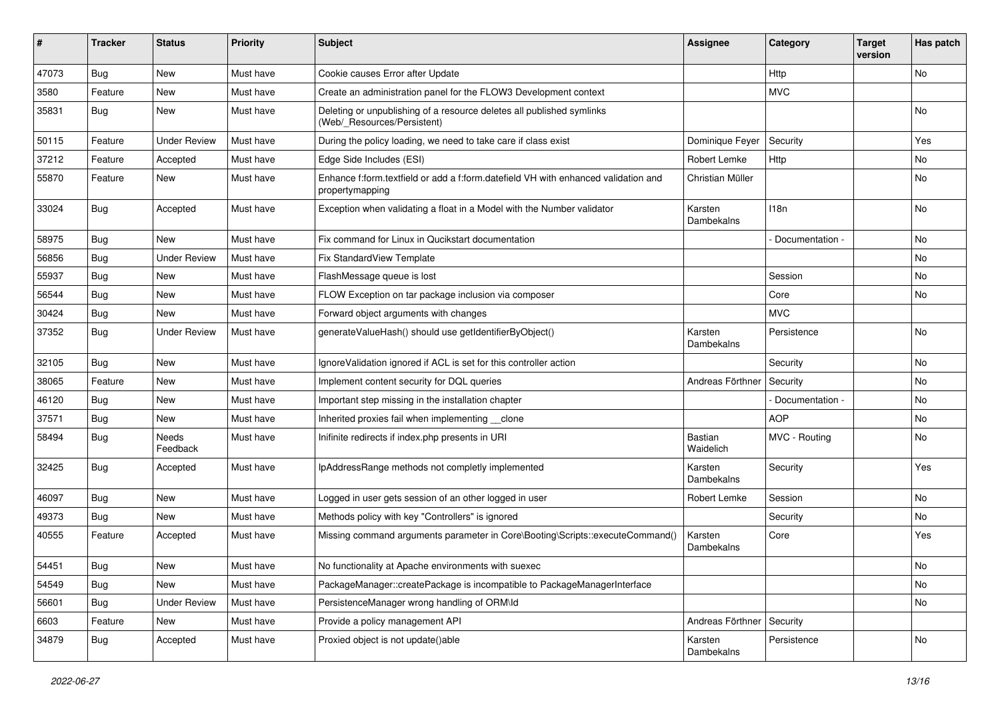| ∦     | <b>Tracker</b> | <b>Status</b>       | <b>Priority</b> | Subject                                                                                               | <b>Assignee</b>             | Category        | <b>Target</b><br>version | Has patch                    |
|-------|----------------|---------------------|-----------------|-------------------------------------------------------------------------------------------------------|-----------------------------|-----------------|--------------------------|------------------------------|
| 47073 | Bug            | New                 | Must have       | Cookie causes Error after Update                                                                      |                             | Http            |                          | No                           |
| 3580  | Feature        | New                 | Must have       | Create an administration panel for the FLOW3 Development context                                      |                             | <b>MVC</b>      |                          |                              |
| 35831 | <b>Bug</b>     | New                 | Must have       | Deleting or unpublishing of a resource deletes all published symlinks<br>(Web/_Resources/Persistent)  |                             |                 |                          | No                           |
| 50115 | Feature        | <b>Under Review</b> | Must have       | During the policy loading, we need to take care if class exist                                        | Dominique Feyer             | Security        |                          | Yes                          |
| 37212 | Feature        | Accepted            | Must have       | Edge Side Includes (ESI)                                                                              | Robert Lemke                | Http            |                          | No                           |
| 55870 | Feature        | New                 | Must have       | Enhance f:form.textfield or add a f:form.datefield VH with enhanced validation and<br>propertymapping | Christian Müller            |                 |                          | No                           |
| 33024 | Bug            | Accepted            | Must have       | Exception when validating a float in a Model with the Number validator                                | Karsten<br>Dambekalns       | 118n            |                          | No                           |
| 58975 | <b>Bug</b>     | <b>New</b>          | Must have       | Fix command for Linux in Qucikstart documentation                                                     |                             | Documentation - |                          | No                           |
| 56856 | Bug            | <b>Under Review</b> | Must have       | Fix StandardView Template                                                                             |                             |                 |                          | No                           |
| 55937 | <b>Bug</b>     | <b>New</b>          | Must have       | FlashMessage queue is lost                                                                            |                             | Session         |                          | No                           |
| 56544 | <b>Bug</b>     | New                 | Must have       | FLOW Exception on tar package inclusion via composer                                                  |                             | Core            |                          | No                           |
| 30424 | Bug            | New                 | Must have       | Forward object arguments with changes                                                                 |                             | <b>MVC</b>      |                          |                              |
| 37352 | <b>Bug</b>     | <b>Under Review</b> | Must have       | generateValueHash() should use getIdentifierByObject()                                                | Karsten<br>Dambekalns       | Persistence     |                          | No                           |
| 32105 | <b>Bug</b>     | New                 | Must have       | Ignore Validation ignored if ACL is set for this controller action                                    |                             | Security        |                          | No                           |
| 38065 | Feature        | New                 | Must have       | Implement content security for DQL queries                                                            | Andreas Förthner            | Security        |                          | No                           |
| 46120 | Bug            | New                 | Must have       | Important step missing in the installation chapter                                                    |                             | Documentation - |                          | <b>No</b>                    |
| 37571 | <b>Bug</b>     | New                 | Must have       | Inherited proxies fail when implementing clone                                                        |                             | <b>AOP</b>      |                          | No                           |
| 58494 | <b>Bug</b>     | Needs<br>Feedback   | Must have       | Inifinite redirects if index.php presents in URI                                                      | <b>Bastian</b><br>Waidelich | MVC - Routing   |                          | No                           |
| 32425 | <b>Bug</b>     | Accepted            | Must have       | IpAddressRange methods not completly implemented                                                      | Karsten<br>Dambekalns       | Security        |                          | Yes                          |
| 46097 | <b>Bug</b>     | New                 | Must have       | Logged in user gets session of an other logged in user                                                | Robert Lemke                | Session         |                          | No                           |
| 49373 | <b>Bug</b>     | New                 | Must have       | Methods policy with key "Controllers" is ignored                                                      |                             | Security        |                          | No                           |
| 40555 | Feature        | Accepted            | Must have       | Missing command arguments parameter in Core\Booting\Scripts::executeCommand()                         | Karsten<br>Dambekalns       | Core            |                          | Yes                          |
| 54451 | Bug            | New                 | Must have       | No functionality at Apache environments with suexec                                                   |                             |                 |                          | $\operatorname{\mathsf{No}}$ |
| 54549 | Bug            | New                 | Must have       | PackageManager::createPackage is incompatible to PackageManagerInterface                              |                             |                 |                          | No                           |
| 56601 | Bug            | <b>Under Review</b> | Must have       | PersistenceManager wrong handling of ORM\ld                                                           |                             |                 |                          | No                           |
| 6603  | Feature        | New                 | Must have       | Provide a policy management API                                                                       | Andreas Förthner            | Security        |                          |                              |
| 34879 | <b>Bug</b>     | Accepted            | Must have       | Proxied object is not update()able                                                                    | Karsten<br>Dambekalns       | Persistence     |                          | No                           |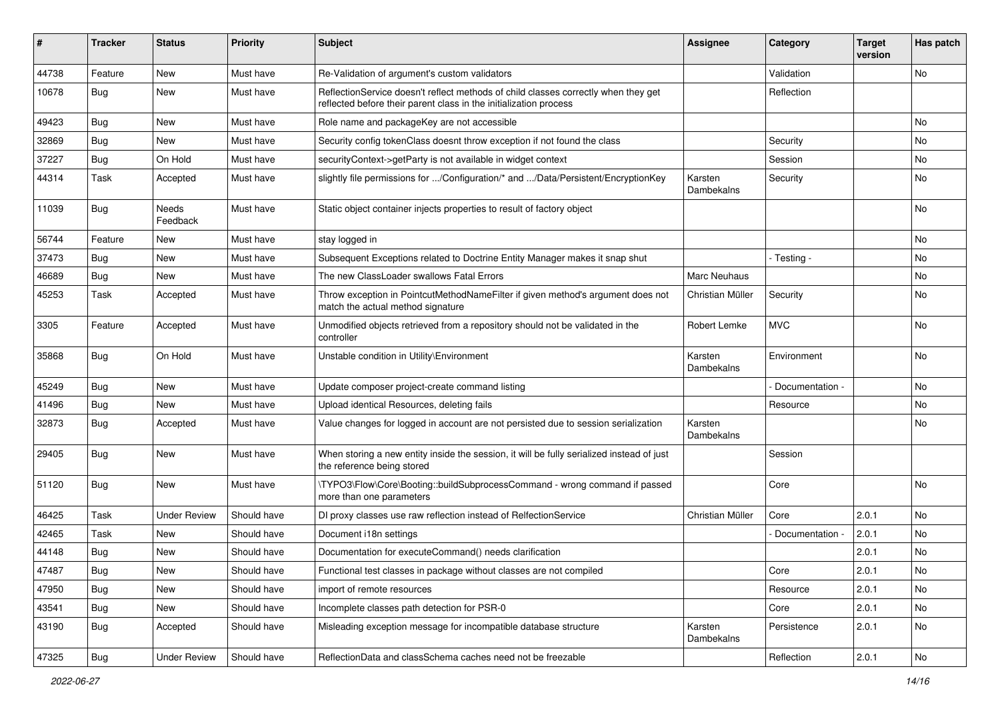| #     | <b>Tracker</b> | <b>Status</b>       | <b>Priority</b> | <b>Subject</b>                                                                                                                                          | <b>Assignee</b>       | Category        | <b>Target</b><br>version | Has patch     |
|-------|----------------|---------------------|-----------------|---------------------------------------------------------------------------------------------------------------------------------------------------------|-----------------------|-----------------|--------------------------|---------------|
| 44738 | Feature        | <b>New</b>          | Must have       | Re-Validation of argument's custom validators                                                                                                           |                       | Validation      |                          | <b>No</b>     |
| 10678 | <b>Bug</b>     | New                 | Must have       | ReflectionService doesn't reflect methods of child classes correctly when they get<br>reflected before their parent class in the initialization process |                       | Reflection      |                          |               |
| 49423 | <b>Bug</b>     | <b>New</b>          | Must have       | Role name and packageKey are not accessible                                                                                                             |                       |                 |                          | <b>No</b>     |
| 32869 | <b>Bug</b>     | New                 | Must have       | Security config tokenClass doesnt throw exception if not found the class                                                                                |                       | Security        |                          | No.           |
| 37227 | <b>Bug</b>     | On Hold             | Must have       | securityContext->getParty is not available in widget context                                                                                            |                       | Session         |                          | <b>No</b>     |
| 44314 | Task           | Accepted            | Must have       | slightly file permissions for /Configuration/* and /Data/Persistent/EncryptionKey                                                                       | Karsten<br>Dambekalns | Security        |                          | No            |
| 11039 | <b>Bug</b>     | Needs<br>Feedback   | Must have       | Static object container injects properties to result of factory object                                                                                  |                       |                 |                          | <b>No</b>     |
| 56744 | Feature        | New                 | Must have       | stay logged in                                                                                                                                          |                       |                 |                          | <b>No</b>     |
| 37473 | Bug            | <b>New</b>          | Must have       | Subsequent Exceptions related to Doctrine Entity Manager makes it snap shut                                                                             |                       | - Testing -     |                          | <b>No</b>     |
| 46689 | <b>Bug</b>     | New                 | Must have       | The new ClassLoader swallows Fatal Errors                                                                                                               | Marc Neuhaus          |                 |                          | No            |
| 45253 | Task           | Accepted            | Must have       | Throw exception in PointcutMethodNameFilter if given method's argument does not<br>match the actual method signature                                    | Christian Müller      | Security        |                          | <b>No</b>     |
| 3305  | Feature        | Accepted            | Must have       | Unmodified objects retrieved from a repository should not be validated in the<br>controller                                                             | Robert Lemke          | <b>MVC</b>      |                          | No            |
| 35868 | Bug            | On Hold             | Must have       | Unstable condition in Utility\Environment                                                                                                               | Karsten<br>Dambekalns | Environment     |                          | <b>No</b>     |
| 45249 | Bug            | <b>New</b>          | Must have       | Update composer project-create command listing                                                                                                          |                       | Documentation - |                          | No            |
| 41496 | <b>Bug</b>     | New                 | Must have       | Upload identical Resources, deleting fails                                                                                                              |                       | Resource        |                          | <b>No</b>     |
| 32873 | Bug            | Accepted            | Must have       | Value changes for logged in account are not persisted due to session serialization                                                                      | Karsten<br>Dambekalns |                 |                          | No            |
| 29405 | Bug            | New                 | Must have       | When storing a new entity inside the session, it will be fully serialized instead of just<br>the reference being stored                                 |                       | Session         |                          |               |
| 51120 | <b>Bug</b>     | New                 | Must have       | \TYPO3\Flow\Core\Booting::buildSubprocessCommand - wrong command if passed<br>more than one parameters                                                  |                       | Core            |                          | No            |
| 46425 | Task           | <b>Under Review</b> | Should have     | DI proxy classes use raw reflection instead of RelfectionService                                                                                        | Christian Müller      | Core            | 2.0.1                    | <b>No</b>     |
| 42465 | Task           | New                 | Should have     | Document i18n settings                                                                                                                                  |                       | Documentation - | 2.0.1                    | No.           |
| 44148 | Bug            | New                 | Should have     | Documentation for executeCommand() needs clarification                                                                                                  |                       |                 | 2.0.1                    | No            |
| 47487 | Bug            | New                 | Should have     | Functional test classes in package without classes are not compiled                                                                                     |                       | Core            | 2.0.1                    | No            |
| 47950 | Bug            | New                 | Should have     | import of remote resources                                                                                                                              |                       | Resource        | 2.0.1                    | No            |
| 43541 | Bug            | New                 | Should have     | Incomplete classes path detection for PSR-0                                                                                                             |                       | Core            | 2.0.1                    | No            |
| 43190 | Bug            | Accepted            | Should have     | Misleading exception message for incompatible database structure                                                                                        | Karsten<br>Dambekalns | Persistence     | 2.0.1                    | No            |
| 47325 | <b>Bug</b>     | <b>Under Review</b> | Should have     | ReflectionData and classSchema caches need not be freezable                                                                                             |                       | Reflection      | 2.0.1                    | $\mathsf{No}$ |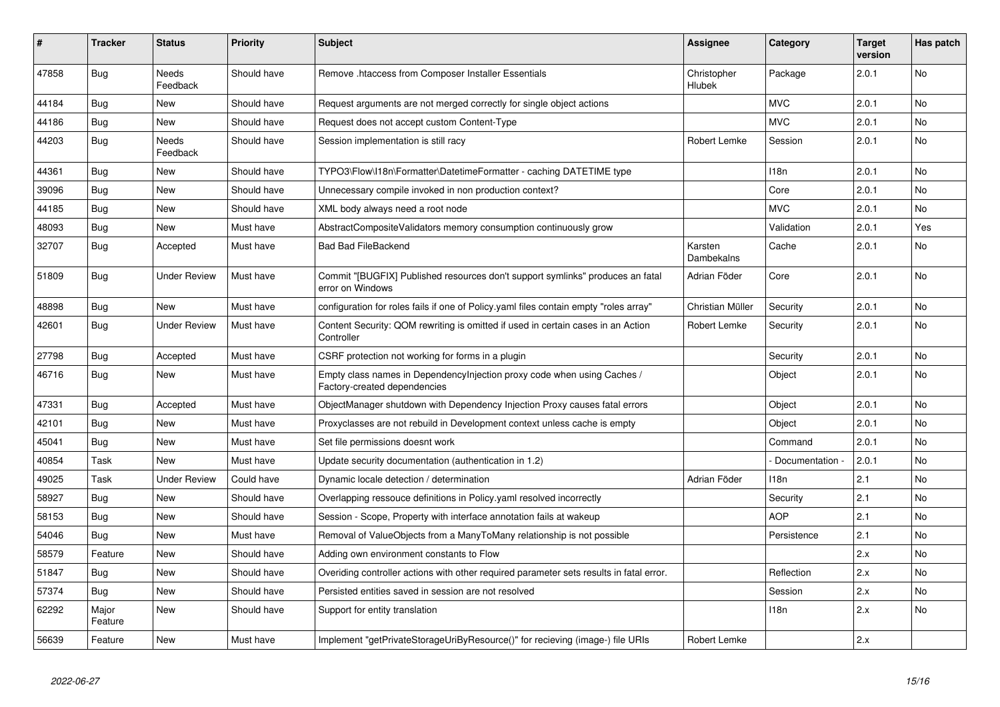| ∦     | <b>Tracker</b>   | <b>Status</b>            | <b>Priority</b> | <b>Subject</b>                                                                                          | Assignee              | Category         | <b>Target</b><br>version | Has patch      |
|-------|------------------|--------------------------|-----------------|---------------------------------------------------------------------------------------------------------|-----------------------|------------------|--------------------------|----------------|
| 47858 | <b>Bug</b>       | <b>Needs</b><br>Feedback | Should have     | Remove .htaccess from Composer Installer Essentials                                                     | Christopher<br>Hlubek | Package          | 2.0.1                    | <b>No</b>      |
| 44184 | Bug              | <b>New</b>               | Should have     | Request arguments are not merged correctly for single object actions                                    |                       | <b>MVC</b>       | 2.0.1                    | No             |
| 44186 | <b>Bug</b>       | <b>New</b>               | Should have     | Request does not accept custom Content-Type                                                             |                       | <b>MVC</b>       | 2.0.1                    | <b>No</b>      |
| 44203 | Bug              | Needs<br>Feedback        | Should have     | Session implementation is still racy                                                                    | Robert Lemke          | Session          | 2.0.1                    | <b>No</b>      |
| 44361 | Bug              | <b>New</b>               | Should have     | TYPO3\Flow\I18n\Formatter\DatetimeFormatter - caching DATETIME type                                     |                       | 118 <sub>n</sub> | 2.0.1                    | <b>No</b>      |
| 39096 | <b>Bug</b>       | <b>New</b>               | Should have     | Unnecessary compile invoked in non production context?                                                  |                       | Core             | 2.0.1                    | <b>No</b>      |
| 44185 | <b>Bug</b>       | <b>New</b>               | Should have     | XML body always need a root node                                                                        |                       | <b>MVC</b>       | 2.0.1                    | <b>No</b>      |
| 48093 | <b>Bug</b>       | <b>New</b>               | Must have       | AbstractCompositeValidators memory consumption continuously grow                                        |                       | Validation       | 2.0.1                    | Yes            |
| 32707 | Bug              | Accepted                 | Must have       | <b>Bad Bad FileBackend</b>                                                                              | Karsten<br>Dambekalns | Cache            | 2.0.1                    | <b>No</b>      |
| 51809 | Bug              | <b>Under Review</b>      | Must have       | Commit "[BUGFIX] Published resources don't support symlinks" produces an fatal<br>error on Windows      | Adrian Föder          | Core             | 2.0.1                    | <b>No</b>      |
| 48898 | <b>Bug</b>       | <b>New</b>               | Must have       | configuration for roles fails if one of Policy yaml files contain empty "roles array"                   | Christian Müller      | Security         | 2.0.1                    | No             |
| 42601 | Bug              | <b>Under Review</b>      | Must have       | Content Security: QOM rewriting is omitted if used in certain cases in an Action<br>Controller          | Robert Lemke          | Security         | 2.0.1                    | No             |
| 27798 | <b>Bug</b>       | Accepted                 | Must have       | CSRF protection not working for forms in a plugin                                                       |                       | Security         | 2.0.1                    | <b>No</b>      |
| 46716 | Bug              | <b>New</b>               | Must have       | Empty class names in Dependencylnjection proxy code when using Caches /<br>Factory-created dependencies |                       | Object           | 2.0.1                    | No             |
| 47331 | <b>Bug</b>       | Accepted                 | Must have       | ObjectManager shutdown with Dependency Injection Proxy causes fatal errors                              |                       | Object           | 2.0.1                    | N <sub>o</sub> |
| 42101 | Bug              | <b>New</b>               | Must have       | Proxyclasses are not rebuild in Development context unless cache is empty                               |                       | Object           | 2.0.1                    | <b>No</b>      |
| 45041 | <b>Bug</b>       | <b>New</b>               | Must have       | Set file permissions doesnt work                                                                        |                       | Command          | 2.0.1                    | <b>No</b>      |
| 40854 | Task             | <b>New</b>               | Must have       | Update security documentation (authentication in 1.2)                                                   |                       | Documentation -  | 2.0.1                    | <b>No</b>      |
| 49025 | Task             | <b>Under Review</b>      | Could have      | Dynamic locale detection / determination                                                                | Adrian Föder          | 118n             | 2.1                      | No             |
| 58927 | <b>Bug</b>       | <b>New</b>               | Should have     | Overlapping ressouce definitions in Policy yaml resolved incorrectly                                    |                       | Security         | 2.1                      | No             |
| 58153 | <b>Bug</b>       | New                      | Should have     | Session - Scope, Property with interface annotation fails at wakeup                                     |                       | <b>AOP</b>       | 2.1                      | <b>No</b>      |
| 54046 | Bug              | <b>New</b>               | Must have       | Removal of ValueObjects from a ManyToMany relationship is not possible                                  |                       | Persistence      | 2.1                      | No             |
| 58579 | Feature          | <b>New</b>               | Should have     | Adding own environment constants to Flow                                                                |                       |                  | 2.x                      | <b>No</b>      |
| 51847 | Bug              | <b>New</b>               | Should have     | Overiding controller actions with other required parameter sets results in fatal error.                 |                       | Reflection       | 2.x                      | No             |
| 57374 | Bug              | <b>New</b>               | Should have     | Persisted entities saved in session are not resolved                                                    |                       | Session          | 2.x                      | No             |
| 62292 | Major<br>Feature | <b>New</b>               | Should have     | Support for entity translation                                                                          |                       | 118n             | 2.x                      | No             |
| 56639 | Feature          | <b>New</b>               | Must have       | Implement "getPrivateStorageUriByResource()" for recieving (image-) file URIs                           | Robert Lemke          |                  | 2.x                      |                |